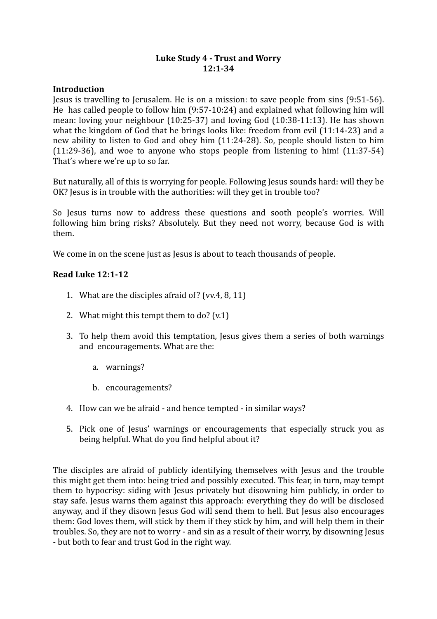# Luke Study 4 - Trust and Worry **12:1-34**

#### **Introduction**

Jesus is travelling to Jerusalem. He is on a mission: to save people from sins  $(9:51-56)$ . He has called people to follow him  $(9:57-10:24)$  and explained what following him will mean: loving your neighbour  $(10:25-37)$  and loving God  $(10:38-11:13)$ . He has shown what the kingdom of God that he brings looks like: freedom from evil  $(11:14-23)$  and a new ability to listen to God and obey him (11:24-28). So, people should listen to him  $(11:29-36)$ , and woe to anyone who stops people from listening to him!  $(11:37-54)$ That's where we're up to so far.

But naturally, all of this is worrying for people. Following Jesus sounds hard: will they be OK? Jesus is in trouble with the authorities: will they get in trouble too?

So Jesus turns now to address these questions and sooth people's worries. Will following him bring risks? Absolutely. But they need not worry, because God is with them. 

We come in on the scene just as Jesus is about to teach thousands of people.

#### **Read Luke 12:1-12**

- 1. What are the disciples afraid of? (vv.4, 8, 11)
- 2. What might this tempt them to do?  $(v.1)$
- 3. To help them avoid this temptation, lesus gives them a series of both warnings and encouragements. What are the:
	- a. warnings?
	- b. encouragements?
- 4. How can we be afraid and hence tempted in similar ways?
- 5. Pick one of Jesus' warnings or encouragements that especially struck you as being helpful. What do you find helpful about it?

The disciples are afraid of publicly identifying themselves with Jesus and the trouble this might get them into: being tried and possibly executed. This fear, in turn, may tempt them to hypocrisy: siding with Jesus privately but disowning him publicly, in order to stay safe. Jesus warns them against this approach: everything they do will be disclosed anyway, and if they disown Jesus God will send them to hell. But Jesus also encourages them: God loves them, will stick by them if they stick by him, and will help them in their troubles. So, they are not to worry - and sin as a result of their worry, by disowning Jesus - but both to fear and trust God in the right way.